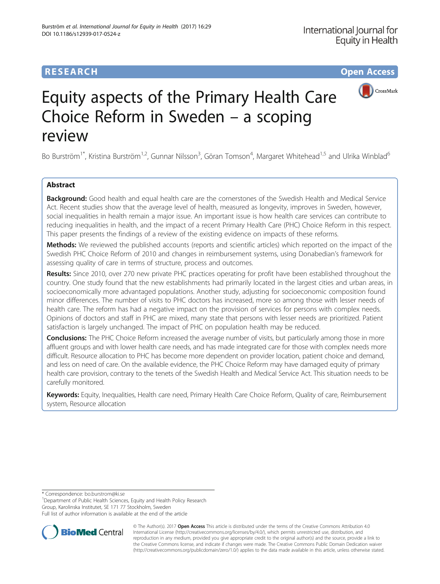# **RESEARCH CHE Open Access**





# Equity aspects of the Primary Health Care Choice Reform in Sweden – a scoping review

Bo Burström<sup>1\*</sup>, Kristina Burström<sup>1,2</sup>, Gunnar Nilsson<sup>3</sup>, Göran Tomson<sup>4</sup>, Margaret Whitehead<sup>1,5</sup> and Ulrika Winblad<sup>6</sup>

# Abstract

**Background:** Good health and equal health care are the cornerstones of the Swedish Health and Medical Service Act. Recent studies show that the average level of health, measured as longevity, improves in Sweden, however, social inequalities in health remain a major issue. An important issue is how health care services can contribute to reducing inequalities in health, and the impact of a recent Primary Health Care (PHC) Choice Reform in this respect. This paper presents the findings of a review of the existing evidence on impacts of these reforms.

Methods: We reviewed the published accounts (reports and scientific articles) which reported on the impact of the Swedish PHC Choice Reform of 2010 and changes in reimbursement systems, using Donabedian's framework for assessing quality of care in terms of structure, process and outcomes.

Results: Since 2010, over 270 new private PHC practices operating for profit have been established throughout the country. One study found that the new establishments had primarily located in the largest cities and urban areas, in socioeconomically more advantaged populations. Another study, adjusting for socioeconomic composition found minor differences. The number of visits to PHC doctors has increased, more so among those with lesser needs of health care. The reform has had a negative impact on the provision of services for persons with complex needs. Opinions of doctors and staff in PHC are mixed, many state that persons with lesser needs are prioritized. Patient satisfaction is largely unchanged. The impact of PHC on population health may be reduced.

Conclusions: The PHC Choice Reform increased the average number of visits, but particularly among those in more affluent groups and with lower health care needs, and has made integrated care for those with complex needs more difficult. Resource allocation to PHC has become more dependent on provider location, patient choice and demand, and less on need of care. On the available evidence, the PHC Choice Reform may have damaged equity of primary health care provision, contrary to the tenets of the Swedish Health and Medical Service Act. This situation needs to be carefully monitored.

Keywords: Equity, Inequalities, Health care need, Primary Health Care Choice Reform, Quality of care, Reimbursement system, Resource allocation

\* Correspondence: [bo.burstrom@ki.se](mailto:bo.burstrom@ki.se) <sup>1</sup>

<sup>1</sup>Department of Public Health Sciences, Equity and Health Policy Research Group, Karolinska Institutet, SE 171 77 Stockholm, Sweden

Full list of author information is available at the end of the article



© The Author(s). 2017 **Open Access** This article is distributed under the terms of the Creative Commons Attribution 4.0 International License [\(http://creativecommons.org/licenses/by/4.0/](http://creativecommons.org/licenses/by/4.0/)), which permits unrestricted use, distribution, and reproduction in any medium, provided you give appropriate credit to the original author(s) and the source, provide a link to the Creative Commons license, and indicate if changes were made. The Creative Commons Public Domain Dedication waiver [\(http://creativecommons.org/publicdomain/zero/1.0/](http://creativecommons.org/publicdomain/zero/1.0/)) applies to the data made available in this article, unless otherwise stated.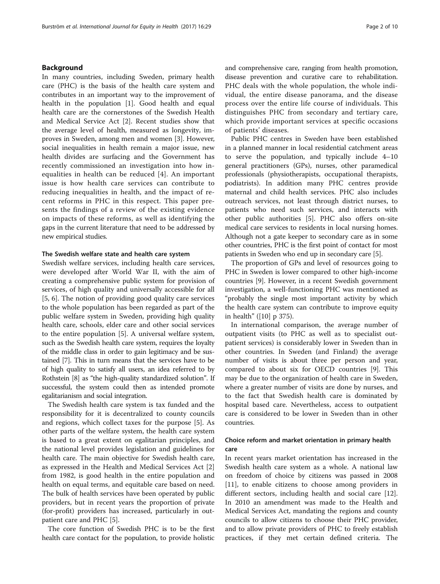## Background

In many countries, including Sweden, primary health care (PHC) is the basis of the health care system and contributes in an important way to the improvement of health in the population [[1\]](#page-9-0). Good health and equal health care are the cornerstones of the Swedish Health and Medical Service Act [\[2\]](#page-9-0). Recent studies show that the average level of health, measured as longevity, improves in Sweden, among men and women [\[3](#page-9-0)]. However, social inequalities in health remain a major issue, new health divides are surfacing and the Government has recently commissioned an investigation into how inequalities in health can be reduced [[4\]](#page-9-0). An important issue is how health care services can contribute to reducing inequalities in health, and the impact of recent reforms in PHC in this respect. This paper presents the findings of a review of the existing evidence on impacts of these reforms, as well as identifying the gaps in the current literature that need to be addressed by new empirical studies.

#### The Swedish welfare state and health care system

Swedish welfare services, including health care services, were developed after World War II, with the aim of creating a comprehensive public system for provision of services, of high quality and universally accessible for all [[5, 6\]](#page-9-0). The notion of providing good quality care services to the whole population has been regarded as part of the public welfare system in Sweden, providing high quality health care, schools, elder care and other social services to the entire population [\[5](#page-9-0)]. A universal welfare system, such as the Swedish health care system, requires the loyalty of the middle class in order to gain legitimacy and be sustained [\[7\]](#page-9-0). This in turn means that the services have to be of high quality to satisfy all users, an idea referred to by Rothstein [\[8\]](#page-9-0) as "the high-quality standardized solution". If successful, the system could then as intended promote egalitarianism and social integration.

The Swedish health care system is tax funded and the responsibility for it is decentralized to county councils and regions, which collect taxes for the purpose [[5\]](#page-9-0). As other parts of the welfare system, the health care system is based to a great extent on egalitarian principles, and the national level provides legislation and guidelines for health care. The main objective for Swedish health care, as expressed in the Health and Medical Services Act [\[2](#page-9-0)] from 1982, is good health in the entire population and health on equal terms, and equitable care based on need. The bulk of health services have been operated by public providers, but in recent years the proportion of private (for-profit) providers has increased, particularly in outpatient care and PHC [[5](#page-9-0)].

The core function of Swedish PHC is to be the first health care contact for the population, to provide holistic and comprehensive care, ranging from health promotion, disease prevention and curative care to rehabilitation. PHC deals with the whole population, the whole individual, the entire disease panorama, and the disease process over the entire life course of individuals. This distinguishes PHC from secondary and tertiary care, which provide important services at specific occasions of patients' diseases.

Public PHC centres in Sweden have been established in a planned manner in local residential catchment areas to serve the population, and typically include 4–10 general practitioners (GPs), nurses, other paramedical professionals (physiotherapists, occupational therapists, podiatrists). In addition many PHC centres provide maternal and child health services. PHC also includes outreach services, not least through district nurses, to patients who need such services, and interacts with other public authorities [[5\]](#page-9-0). PHC also offers on-site medical care services to residents in local nursing homes. Although not a gate keeper to secondary care as in some other countries, PHC is the first point of contact for most patients in Sweden who end up in secondary care [\[5](#page-9-0)].

The proportion of GPs and level of resources going to PHC in Sweden is lower compared to other high-income countries [\[9](#page-9-0)]. However, in a recent Swedish government investigation, a well-functioning PHC was mentioned as "probably the single most important activity by which the health care system can contribute to improve equity in health" ([[10](#page-9-0)] p 375).

In international comparison, the average number of outpatient visits (to PHC as well as to specialist outpatient services) is considerably lower in Sweden than in other countries. In Sweden (and Finland) the average number of visits is about three per person and year, compared to about six for OECD countries [[9\]](#page-9-0). This may be due to the organization of health care in Sweden, where a greater number of visits are done by nurses, and to the fact that Swedish health care is dominated by hospital based care. Nevertheless, access to outpatient care is considered to be lower in Sweden than in other countries.

# Choice reform and market orientation in primary health care

In recent years market orientation has increased in the Swedish health care system as a whole. A national law on freedom of choice by citizens was passed in 2008 [[11\]](#page-9-0), to enable citizens to choose among providers in different sectors, including health and social care [\[12](#page-9-0)]. In 2010 an amendment was made to the Health and Medical Services Act, mandating the regions and county councils to allow citizens to choose their PHC provider, and to allow private providers of PHC to freely establish practices, if they met certain defined criteria. The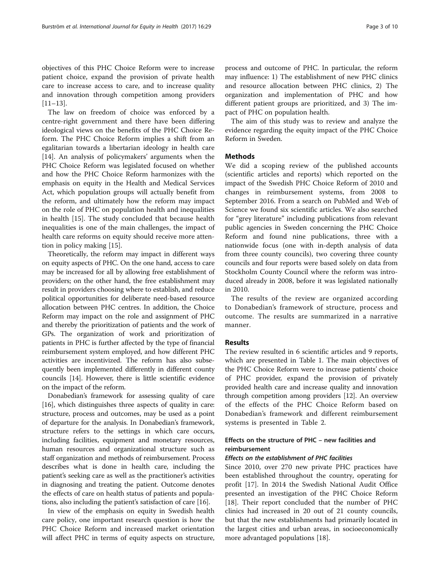objectives of this PHC Choice Reform were to increase patient choice, expand the provision of private health care to increase access to care, and to increase quality and innovation through competition among providers [[11](#page-9-0)–[13](#page-9-0)].

The law on freedom of choice was enforced by a centre-right government and there have been differing ideological views on the benefits of the PHC Choice Reform. The PHC Choice Reform implies a shift from an egalitarian towards a libertarian ideology in health care [[14\]](#page-9-0). An analysis of policymakers' arguments when the PHC Choice Reform was legislated focused on whether and how the PHC Choice Reform harmonizes with the emphasis on equity in the Health and Medical Services Act, which population groups will actually benefit from the reform, and ultimately how the reform may impact on the role of PHC on population health and inequalities in health [\[15](#page-9-0)]. The study concluded that because health inequalities is one of the main challenges, the impact of health care reforms on equity should receive more attention in policy making [\[15](#page-9-0)].

Theoretically, the reform may impact in different ways on equity aspects of PHC. On the one hand, access to care may be increased for all by allowing free establishment of providers; on the other hand, the free establishment may result in providers choosing where to establish, and reduce political opportunities for deliberate need-based resource allocation between PHC centres. In addition, the Choice Reform may impact on the role and assignment of PHC and thereby the prioritization of patients and the work of GPs. The organization of work and prioritization of patients in PHC is further affected by the type of financial reimbursement system employed, and how different PHC activities are incentivized. The reform has also subsequently been implemented differently in different county councils [\[14\]](#page-9-0). However, there is little scientific evidence on the impact of the reform.

Donabedian's framework for assessing quality of care [[16](#page-9-0)], which distinguishes three aspects of quality in care: structure, process and outcomes, may be used as a point of departure for the analysis. In Donabedian's framework, structure refers to the settings in which care occurs, including facilities, equipment and monetary resources, human resources and organizational structure such as staff organization and methods of reimbursement. Process describes what is done in health care, including the patient's seeking care as well as the practitioner's activities in diagnosing and treating the patient. Outcome denotes the effects of care on health status of patients and populations, also including the patient's satisfaction of care [[16](#page-9-0)].

In view of the emphasis on equity in Swedish health care policy, one important research question is how the PHC Choice Reform and increased market orientation will affect PHC in terms of equity aspects on structure, process and outcome of PHC. In particular, the reform may influence: 1) The establishment of new PHC clinics and resource allocation between PHC clinics, 2) The organization and implementation of PHC and how different patient groups are prioritized, and 3) The impact of PHC on population health.

The aim of this study was to review and analyze the evidence regarding the equity impact of the PHC Choice Reform in Sweden.

# **Methods**

We did a scoping review of the published accounts (scientific articles and reports) which reported on the impact of the Swedish PHC Choice Reform of 2010 and changes in reimbursement systems, from 2008 to September 2016. From a search on PubMed and Web of Science we found six scientific articles. We also searched for "grey literature" including publications from relevant public agencies in Sweden concerning the PHC Choice Reform and found nine publications, three with a nationwide focus (one with in-depth analysis of data from three county councils), two covering three county councils and four reports were based solely on data from Stockholm County Council where the reform was introduced already in 2008, before it was legislated nationally in 2010.

The results of the review are organized according to Donabedian's framework of structure, process and outcome. The results are summarized in a narrative manner.

#### Results

The review resulted in 6 scientific articles and 9 reports, which are presented in Table [1.](#page-3-0) The main objectives of the PHC Choice Reform were to increase patients' choice of PHC provider, expand the provision of privately provided health care and increase quality and innovation through competition among providers [\[12\]](#page-9-0). An overview of the effects of the PHC Choice Reform based on Donabedian's framework and different reimbursement systems is presented in Table [2](#page-4-0).

# Effects on the structure of PHC – new facilities and reimbursement

#### Effects on the establishment of PHC facilities

Since 2010, over 270 new private PHC practices have been established throughout the country, operating for profit [[17\]](#page-9-0). In 2014 the Swedish National Audit Office presented an investigation of the PHC Choice Reform [[18\]](#page-9-0). Their report concluded that the number of PHC clinics had increased in 20 out of 21 county councils, but that the new establishments had primarily located in the largest cities and urban areas, in socioeconomically more advantaged populations [[18\]](#page-9-0).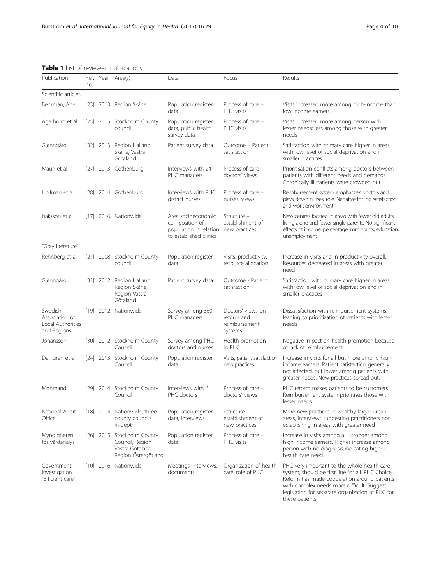<span id="page-3-0"></span>Table 1 List of reviewed publications

| Publication                                                   | no. |             | Ref. Year Area(s)                                                                        | Data                                                                                                   | Focus                                                       | Results                                                                                                                                                                                                                                                             |
|---------------------------------------------------------------|-----|-------------|------------------------------------------------------------------------------------------|--------------------------------------------------------------------------------------------------------|-------------------------------------------------------------|---------------------------------------------------------------------------------------------------------------------------------------------------------------------------------------------------------------------------------------------------------------------|
| Scientific articles                                           |     |             |                                                                                          |                                                                                                        |                                                             |                                                                                                                                                                                                                                                                     |
| Beckman, Anell                                                |     |             | [23] 2013 Region Skåne                                                                   | Population register<br>data                                                                            | Process of care -<br>PHC visits                             | Visits increased more among high-income than<br>low income earners                                                                                                                                                                                                  |
| Agerholm et al                                                |     |             | [25] 2015 Stockholm County<br>council                                                    | Population register<br>data, public health<br>survey data                                              | Process of care -<br>PHC visits                             | Visits increased more among person with<br>lesser needs; less among those with greater<br>needs                                                                                                                                                                     |
| Glenngård                                                     |     | $[32]$ 2013 | Region Halland,<br>Skåne, Västra<br>Götaland                                             | Patient survey data                                                                                    | Outcome - Patient<br>satisfaction                           | Satisfaction with primary care higher in areas<br>with low level of social deprivation and in<br>smaller practices                                                                                                                                                  |
| Maun et al                                                    |     |             | [27] 2013 Gothenburg                                                                     | Interviews with 24<br>PHC managers                                                                     | Process of care -<br>doctors' views                         | Prioritisation conflicts among doctors between<br>patients with different needs and demands.<br>Chronically ill patients were crowded out.                                                                                                                          |
| Hollman et al                                                 |     |             | [28] 2014 Gothenburg                                                                     | Interviews with PHC<br>district nurses                                                                 | Process of care -<br>nurses' views                          | Reimbursement system emphasizes doctors and<br>plays down nurses' role. Negative for job satisfaction<br>and work environment                                                                                                                                       |
| Isaksson et al                                                |     |             | [17] 2016 Nationwide                                                                     | Area socioeconomic<br>composition of<br>population in relation new practices<br>to established clinics | Structure -<br>establishment of                             | New centres located in areas with fewer old adults<br>living alone and fewer single parents. No significant<br>effects of income, percentage immigrants, education,<br>unemployment                                                                                 |
| "Grey literature"                                             |     |             |                                                                                          |                                                                                                        |                                                             |                                                                                                                                                                                                                                                                     |
| Rehnberg et al                                                |     |             | [21] 2008 Stockholm County<br>council                                                    | Population register<br>data                                                                            | Visits, productivity,<br>resource allocation                | Increase in visits and in productivity overall.<br>Resources decreased in areas with greater<br>need                                                                                                                                                                |
| Glenngård                                                     |     | $[31]$ 2012 | Region Halland,<br>Region Skåne,<br>Region Västra<br>Götaland                            | Patient survey data                                                                                    | Outcome - Patient<br>satisfaction                           | Satisfaction with primary care higher in areas<br>with low level of social deprivation and in<br>smaller practices                                                                                                                                                  |
| Swedish<br>Association of<br>Local Authorities<br>and Regions |     |             | [19] 2012 Nationwide                                                                     | Survey among 360<br>PHC managers                                                                       | Doctors' views on<br>reform and<br>reimbursement<br>systems | Dissatisfaction with reimbursement systems,<br>leading to prioritization of patients with lesser<br>needs                                                                                                                                                           |
| Johansson                                                     |     |             | [30] 2012 Stockholm County<br>Council                                                    | Survey among PHC<br>doctors and nurses                                                                 | Health promotion<br>in PHC                                  | Negative impact on health promotion because<br>of lack of reimbursement                                                                                                                                                                                             |
| Dahlgren et al                                                |     |             | [24] 2013 Stockholm County<br>Council                                                    | Population register<br>data                                                                            | Visits, patient satisfaction,<br>new practices              | Increase in visits for all but more among high<br>income earners. Patient satisfaction generally<br>not affected, but lower among patients with<br>greater needs. New practices spread out.                                                                         |
| Mohmand                                                       |     |             | [29] 2014 Stockholm County<br>Council                                                    | Interviews with 6<br>PHC doctors                                                                       | Process of care -<br>doctors' views                         | PHC reform makes patients to be customers<br>Reimbursement system prioritises those with<br>lesser needs                                                                                                                                                            |
| National Audit<br>Office                                      |     |             | [18] 2014 Nationwide, three<br>county councils<br>in-depth                               | Population register<br>data, interviews                                                                | Structure -<br>establishment of<br>new practices            | More new practices in wealthy larger urban<br>areas, interviews suggesting practitioners not<br>establishing in areas with greater need                                                                                                                             |
| Myndigheten<br>för vårdanalys                                 |     |             | [26] 2015 Stockholm County<br>Council, Region<br>Västra Götaland,<br>Region Östergötland | Population register<br>data                                                                            | Process of care -<br>PHC visits                             | Increase in visits among all, stronger among<br>high income earners. Higher increase among<br>person with no diagnosis indicating higher<br>health care need.                                                                                                       |
| Government<br>investigation<br>"Efficient care"               |     |             | [10] 2016 Nationwide                                                                     | Meetings, interviews,<br>documents                                                                     | Organization of health<br>care, role of PHC                 | PHC very important to the whole health care<br>system, should be first line for all. PHC Choice<br>Reform has made cooperation around patients<br>with complex needs more difficult. Suggest<br>legislation for separate organization of PHC for<br>these patients. |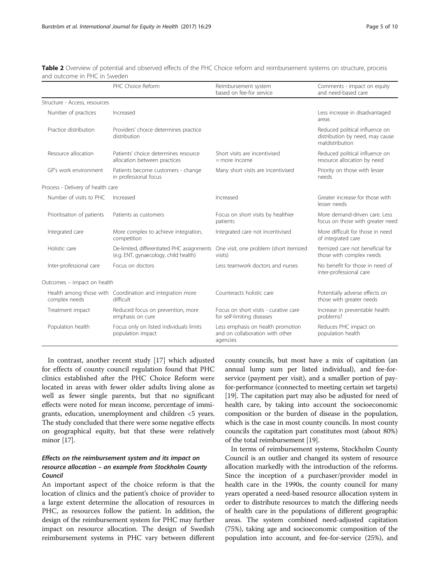<span id="page-4-0"></span>

| Table 2 Overview of potential and observed effects of the PHC Choice reform and reimbursement systems on structure, process |  |  |
|-----------------------------------------------------------------------------------------------------------------------------|--|--|
| and outcome in PHC in Sweden                                                                                                |  |  |

|                                   | PHC Choice Reform                                                                   | Reimbursement system<br>based on fee-for service                                 | Comments - impact on equity<br>and need-based care                                   |
|-----------------------------------|-------------------------------------------------------------------------------------|----------------------------------------------------------------------------------|--------------------------------------------------------------------------------------|
| Structure - Access, resources     |                                                                                     |                                                                                  |                                                                                      |
| Number of practices               | Increased                                                                           |                                                                                  | Less increase in disadvantaged<br>areas                                              |
| Practice distribution             | Providers' choice determines practice<br>distribution                               |                                                                                  | Reduced political influence on<br>distribution by need, may cause<br>maldistribution |
| Resource allocation               | Patients' choice determines resource<br>allocation between practices                | Short visits are incentivised<br>$=$ more income                                 | Reduced political influence on<br>resource allocation by need                        |
| GP's work environment             | Patients become customers - change<br>in professional focus                         | Many short visits are incentivised                                               | Priority on those with lesser<br>needs                                               |
| Process - Delivery of health care |                                                                                     |                                                                                  |                                                                                      |
| Number of visits to PHC           | Increased                                                                           | Increased                                                                        | Greater increase for those with<br>lesser needs                                      |
| Prioritisation of patients        | Patients as customers                                                               | Focus on short visits by healthier<br>patients                                   | More demand-driven care. Less<br>focus on those with greater need                    |
| Integrated care                   | More complex to achieve integration,<br>competition                                 | Integrated care not incentivised                                                 | More difficult for those in need<br>of integrated care                               |
| Holistic care                     | De-limited, differentiated PHC assignments<br>(e.g. ENT, gynaecology, child health) | One visit, one problem (short itemized<br>visits)                                | Itemized care not beneficial for<br>those with complex needs                         |
| Inter-professional care           | Focus on doctors                                                                    | Less teamwork doctors and nurses                                                 | No benefit for those in need of<br>inter-professional care                           |
| Outcomes - impact on health       |                                                                                     |                                                                                  |                                                                                      |
| complex needs                     | Health among those with Coordination and integration more<br>difficult              | Counteracts holistic care                                                        | Potentially adverse effects on<br>those with greater needs                           |
| Treatment impact                  | Reduced focus on prevention, more<br>emphasis on cure                               | Focus on short visits - curative care<br>for self-limiting diseases              | Increase in preventable health<br>problems?                                          |
| Population health                 | Focus only on listed individuals limits<br>population impact                        | Less emphasis on health promotion<br>and on collaboration with other<br>agencies | Reduces PHC impact on<br>population health                                           |

In contrast, another recent study [\[17\]](#page-9-0) which adjusted for effects of county council regulation found that PHC clinics established after the PHC Choice Reform were located in areas with fewer older adults living alone as well as fewer single parents, but that no significant effects were noted for mean income, percentage of immigrants, education, unemployment and children <5 years. The study concluded that there were some negative effects on geographical equity, but that these were relatively minor [\[17\]](#page-9-0).

# Effects on the reimbursement system and its impact on resource allocation – an example from Stockholm County Council

An important aspect of the choice reform is that the location of clinics and the patient's choice of provider to a large extent determine the allocation of resources in PHC, as resources follow the patient. In addition, the design of the reimbursement system for PHC may further impact on resource allocation. The design of Swedish reimbursement systems in PHC vary between different

county councils, but most have a mix of capitation (an annual lump sum per listed individual), and fee-forservice (payment per visit), and a smaller portion of payfor-performance (connected to meeting certain set targets) [[19](#page-9-0)]. The capitation part may also be adjusted for need of health care, by taking into account the socioeconomic composition or the burden of disease in the population, which is the case in most county councils. In most county councils the capitation part constitutes most (about 80%) of the total reimbursement [[19\]](#page-9-0).

In terms of reimbursement systems, Stockholm County Council is an outlier and changed its system of resource allocation markedly with the introduction of the reforms. Since the inception of a purchaser/provider model in health care in the 1990s, the county council for many years operated a need-based resource allocation system in order to distribute resources to match the differing needs of health care in the populations of different geographic areas. The system combined need-adjusted capitation (75%), taking age and socioeconomic composition of the population into account, and fee-for-service (25%), and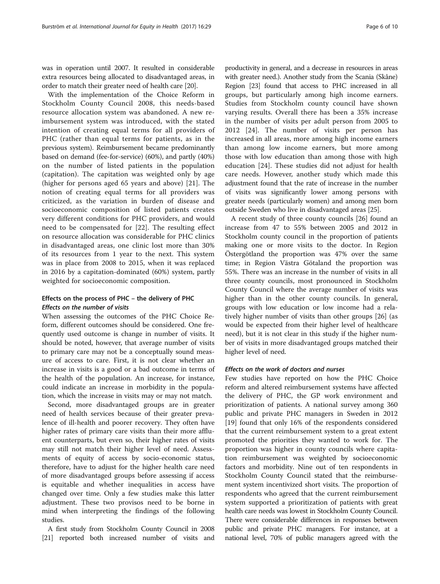was in operation until 2007. It resulted in considerable extra resources being allocated to disadvantaged areas, in order to match their greater need of health care [\[20\]](#page-9-0).

With the implementation of the Choice Reform in Stockholm County Council 2008, this needs-based resource allocation system was abandoned. A new reimbursement system was introduced, with the stated intention of creating equal terms for all providers of PHC (rather than equal terms for patients, as in the previous system). Reimbursement became predominantly based on demand (fee-for-service) (60%), and partly (40%) on the number of listed patients in the population (capitation). The capitation was weighted only by age (higher for persons aged 65 years and above) [[21](#page-9-0)]. The notion of creating equal terms for all providers was criticized, as the variation in burden of disease and socioeconomic composition of listed patients creates very different conditions for PHC providers, and would need to be compensated for [\[22](#page-9-0)]. The resulting effect on resource allocation was considerable for PHC clinics in disadvantaged areas, one clinic lost more than 30% of its resources from 1 year to the next. This system was in place from 2008 to 2015, when it was replaced in 2016 by a capitation-dominated (60%) system, partly weighted for socioeconomic composition.

# Effects on the process of PHC – the delivery of PHC Effects on the number of visits

When assessing the outcomes of the PHC Choice Reform, different outcomes should be considered. One frequently used outcome is change in number of visits. It should be noted, however, that average number of visits to primary care may not be a conceptually sound measure of access to care. First, it is not clear whether an increase in visits is a good or a bad outcome in terms of the health of the population. An increase, for instance, could indicate an increase in morbidity in the population, which the increase in visits may or may not match.

Second, more disadvantaged groups are in greater need of health services because of their greater prevalence of ill-health and poorer recovery. They often have higher rates of primary care visits than their more affluent counterparts, but even so, their higher rates of visits may still not match their higher level of need. Assessments of equity of access by socio-economic status, therefore, have to adjust for the higher health care need of more disadvantaged groups before assessing if access is equitable and whether inequalities in access have changed over time. Only a few studies make this latter adjustment. These two provisos need to be borne in mind when interpreting the findings of the following studies.

A first study from Stockholm County Council in 2008 [[21](#page-9-0)] reported both increased number of visits and

productivity in general, and a decrease in resources in areas with greater need.). Another study from the Scania (Skåne) Region [\[23\]](#page-9-0) found that access to PHC increased in all groups, but particularly among high income earners. Studies from Stockholm county council have shown varying results. Overall there has been a 35% increase in the number of visits per adult person from 2005 to 2012 [[24\]](#page-9-0). The number of visits per person has increased in all areas, more among high income earners than among low income earners, but more among those with low education than among those with high education [[24\]](#page-9-0). These studies did not adjust for health care needs. However, another study which made this adjustment found that the rate of increase in the number of visits was significantly lower among persons with greater needs (particularly women) and among men born outside Sweden who live in disadvantaged areas [\[25\]](#page-9-0).

A recent study of three county councils [[26\]](#page-9-0) found an increase from 47 to 55% between 2005 and 2012 in Stockholm county council in the proportion of patients making one or more visits to the doctor. In Region Östergötland the proportion was 47% over the same time; in Region Västra Götaland the proportion was 55%. There was an increase in the number of visits in all three county councils, most pronounced in Stockholm County Council where the average number of visits was higher than in the other county councils. In general, groups with low education or low income had a relatively higher number of visits than other groups [[26\]](#page-9-0) (as would be expected from their higher level of healthcare need), but it is not clear in this study if the higher number of visits in more disadvantaged groups matched their higher level of need.

## Effects on the work of doctors and nurses

Few studies have reported on how the PHC Choice reform and altered reimbursement systems have affected the delivery of PHC, the GP work environment and prioritization of patients. A national survey among 360 public and private PHC managers in Sweden in 2012 [[19\]](#page-9-0) found that only 16% of the respondents considered that the current reimbursement system to a great extent promoted the priorities they wanted to work for. The proportion was higher in county councils where capitation reimbursement was weighted by socioeconomic factors and morbidity. Nine out of ten respondents in Stockholm County Council stated that the reimbursement system incentivized short visits. The proportion of respondents who agreed that the current reimbursement system supported a prioritization of patients with great health care needs was lowest in Stockholm County Council. There were considerable differences in responses between public and private PHC managers. For instance, at a national level, 70% of public managers agreed with the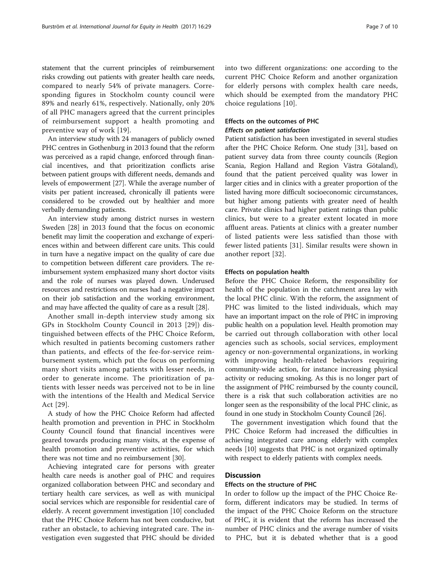statement that the current principles of reimbursement risks crowding out patients with greater health care needs, compared to nearly 54% of private managers. Corresponding figures in Stockholm county council were 89% and nearly 61%, respectively. Nationally, only 20% of all PHC managers agreed that the current principles of reimbursement support a health promoting and preventive way of work [[19](#page-9-0)].

An interview study with 24 managers of publicly owned PHC centres in Gothenburg in 2013 found that the reform was perceived as a rapid change, enforced through financial incentives, and that prioritization conflicts arise between patient groups with different needs, demands and levels of empowerment [[27](#page-9-0)]. While the average number of visits per patient increased, chronically ill patients were considered to be crowded out by healthier and more verbally demanding patients.

An interview study among district nurses in western Sweden [[28\]](#page-9-0) in 2013 found that the focus on economic benefit may limit the cooperation and exchange of experiences within and between different care units. This could in turn have a negative impact on the quality of care due to competition between different care providers. The reimbursement system emphasized many short doctor visits and the role of nurses was played down. Underused resources and restrictions on nurses had a negative impact on their job satisfaction and the working environment, and may have affected the quality of care as a result [\[28\]](#page-9-0).

Another small in-depth interview study among six GPs in Stockholm County Council in 2013 [[29\]](#page-9-0)) distinguished between effects of the PHC Choice Reform, which resulted in patients becoming customers rather than patients, and effects of the fee-for-service reimbursement system, which put the focus on performing many short visits among patients with lesser needs, in order to generate income. The prioritization of patients with lesser needs was perceived not to be in line with the intentions of the Health and Medical Service Act [[29](#page-9-0)].

A study of how the PHC Choice Reform had affected health promotion and prevention in PHC in Stockholm County Council found that financial incentives were geared towards producing many visits, at the expense of health promotion and preventive activities, for which there was not time and no reimbursement [\[30](#page-9-0)].

Achieving integrated care for persons with greater health care needs is another goal of PHC and requires organized collaboration between PHC and secondary and tertiary health care services, as well as with municipal social services which are responsible for residential care of elderly. A recent government investigation [[10](#page-9-0)] concluded that the PHC Choice Reform has not been conducive, but rather an obstacle, to achieving integrated care. The investigation even suggested that PHC should be divided

into two different organizations: one according to the current PHC Choice Reform and another organization for elderly persons with complex health care needs, which should be exempted from the mandatory PHC choice regulations [[10\]](#page-9-0).

# Effects on the outcomes of PHC Effects on patient satisfaction

Patient satisfaction has been investigated in several studies after the PHC Choice Reform. One study [\[31\]](#page-9-0), based on patient survey data from three county councils (Region Scania, Region Halland and Region Västra Götaland), found that the patient perceived quality was lower in larger cities and in clinics with a greater proportion of the listed having more difficult socioeconomic circumstances, but higher among patients with greater need of health care. Private clinics had higher patient ratings than public clinics, but were to a greater extent located in more affluent areas. Patients at clinics with a greater number of listed patients were less satisfied than those with fewer listed patients [\[31](#page-9-0)]. Similar results were shown in another report [[32\]](#page-9-0).

#### Effects on population health

Before the PHC Choice Reform, the responsibility for health of the population in the catchment area lay with the local PHC clinic. With the reform, the assignment of PHC was limited to the listed individuals, which may have an important impact on the role of PHC in improving public health on a population level. Health promotion may be carried out through collaboration with other local agencies such as schools, social services, employment agency or non-governmental organizations, in working with improving health-related behaviors requiring community-wide action, for instance increasing physical activity or reducing smoking. As this is no longer part of the assignment of PHC reimbursed by the county council, there is a risk that such collaboration activities are no longer seen as the responsibility of the local PHC clinic, as found in one study in Stockholm County Council [\[26\]](#page-9-0).

The government investigation which found that the PHC Choice Reform had increased the difficulties in achieving integrated care among elderly with complex needs [\[10](#page-9-0)] suggests that PHC is not organized optimally with respect to elderly patients with complex needs.

## **Discussion**

#### Effects on the structure of PHC

In order to follow up the impact of the PHC Choice Reform, different indicators may be studied. In terms of the impact of the PHC Choice Reform on the structure of PHC, it is evident that the reform has increased the number of PHC clinics and the average number of visits to PHC, but it is debated whether that is a good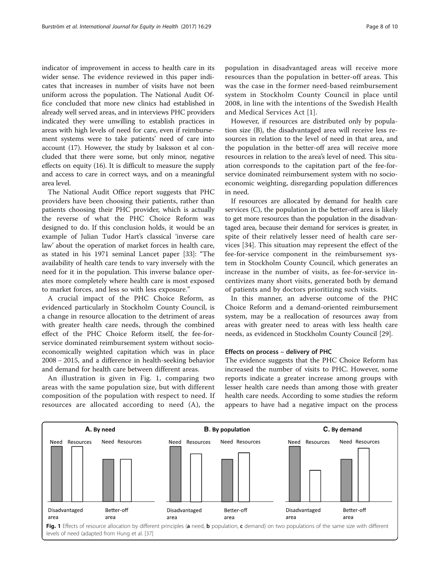indicator of improvement in access to health care in its wider sense. The evidence reviewed in this paper indicates that increases in number of visits have not been uniform across the population. The National Audit Office concluded that more new clinics had established in already well served areas, and in interviews PHC providers indicated they were unwilling to establish practices in areas with high levels of need for care, even if reimbursement systems were to take patients' need of care into account (17). However, the study by Isaksson et al concluded that there were some, but only minor, negative effects on equity (16). It is difficult to measure the supply and access to care in correct ways, and on a meaningful area level.

The National Audit Office report suggests that PHC providers have been choosing their patients, rather than patients choosing their PHC provider, which is actually the reverse of what the PHC Choice Reform was designed to do. If this conclusion holds, it would be an example of Julian Tudor Hart's classical 'inverse care law' about the operation of market forces in health care, as stated in his 1971 seminal Lancet paper [[33\]](#page-9-0): "The availability of health care tends to vary inversely with the need for it in the population. This inverse balance operates more completely where health care is most exposed to market forces, and less so with less exposure."

A crucial impact of the PHC Choice Reform, as evidenced particularly in Stockholm County Council, is a change in resource allocation to the detriment of areas with greater health care needs, through the combined effect of the PHC Choice Reform itself, the fee-forservice dominated reimbursement system without socioeconomically weighted capitation which was in place 2008 − 2015, and a difference in health-seeking behavior and demand for health care between different areas.

An illustration is given in Fig. 1, comparing two areas with the same population size, but with different composition of the population with respect to need. If resources are allocated according to need (A), the

population in disadvantaged areas will receive more resources than the population in better-off areas. This was the case in the former need-based reimbursement system in Stockholm County Council in place until 2008, in line with the intentions of the Swedish Health and Medical Services Act [[1](#page-9-0)].

However, if resources are distributed only by population size (B), the disadvantaged area will receive less resources in relation to the level of need in that area, and the population in the better-off area will receive more resources in relation to the area's level of need. This situation corresponds to the capitation part of the fee-forservice dominated reimbursement system with no socioeconomic weighting, disregarding population differences in need.

If resources are allocated by demand for health care services (C), the population in the better-off area is likely to get more resources than the population in the disadvantaged area, because their demand for services is greater, in spite of their relatively lesser need of health care services [[34](#page-9-0)]. This situation may represent the effect of the fee-for-service component in the reimbursement system in Stockholm County Council, which generates an increase in the number of visits, as fee-for-service incentivizes many short visits, generated both by demand of patients and by doctors prioritizing such visits.

In this manner, an adverse outcome of the PHC Choice Reform and a demand-oriented reimbursement system, may be a reallocation of resources away from areas with greater need to areas with less health care needs, as evidenced in Stockholm County Council [[29\]](#page-9-0).

#### Effects on process – delivery of PHC

The evidence suggests that the PHC Choice Reform has increased the number of visits to PHC. However, some reports indicate a greater increase among groups with lesser health care needs than among those with greater health care needs. According to some studies the reform appears to have had a negative impact on the process

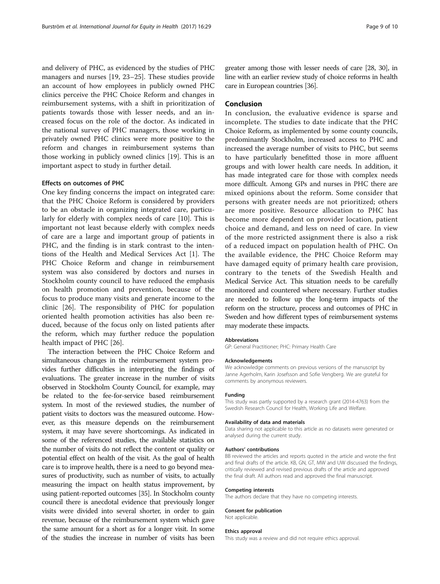and delivery of PHC, as evidenced by the studies of PHC managers and nurses [[19](#page-9-0), [23](#page-9-0)–[25\]](#page-9-0). These studies provide an account of how employees in publicly owned PHC clinics perceive the PHC Choice Reform and changes in reimbursement systems, with a shift in prioritization of patients towards those with lesser needs, and an increased focus on the role of the doctor. As indicated in the national survey of PHC managers, those working in privately owned PHC clinics were more positive to the reform and changes in reimbursement systems than those working in publicly owned clinics [[19\]](#page-9-0). This is an important aspect to study in further detail.

#### Effects on outcomes of PHC

One key finding concerns the impact on integrated care: that the PHC Choice Reform is considered by providers to be an obstacle in organizing integrated care, particularly for elderly with complex needs of care [\[10\]](#page-9-0). This is important not least because elderly with complex needs of care are a large and important group of patients in PHC, and the finding is in stark contrast to the intentions of the Health and Medical Services Act [[1\]](#page-9-0). The PHC Choice Reform and change in reimbursement system was also considered by doctors and nurses in Stockholm county council to have reduced the emphasis on health promotion and prevention, because of the focus to produce many visits and generate income to the clinic [\[26](#page-9-0)]. The responsibility of PHC for population oriented health promotion activities has also been reduced, because of the focus only on listed patients after the reform, which may further reduce the population health impact of PHC [\[26](#page-9-0)].

The interaction between the PHC Choice Reform and simultaneous changes in the reimbursement system provides further difficulties in interpreting the findings of evaluations. The greater increase in the number of visits observed in Stockholm County Council, for example, may be related to the fee-for-service based reimbursement system. In most of the reviewed studies, the number of patient visits to doctors was the measured outcome. However, as this measure depends on the reimbursement system, it may have severe shortcomings. As indicated in some of the referenced studies, the available statistics on the number of visits do not reflect the content or quality or potential effect on health of the visit. As the goal of health care is to improve health, there is a need to go beyond measures of productivity, such as number of visits, to actually measuring the impact on health status improvement, by using patient-reported outcomes [\[35\]](#page-9-0). In Stockholm county council there is anecdotal evidence that previously longer visits were divided into several shorter, in order to gain revenue, because of the reimbursement system which gave the same amount for a short as for a longer visit. In some of the studies the increase in number of visits has been

greater among those with lesser needs of care [\[28, 30](#page-9-0)], in line with an earlier review study of choice reforms in health care in European countries [[36](#page-9-0)].

#### Conclusion

In conclusion, the evaluative evidence is sparse and incomplete. The studies to date indicate that the PHC Choice Reform, as implemented by some county councils, predominantly Stockholm, increased access to PHC and increased the average number of visits to PHC, but seems to have particularly benefitted those in more affluent groups and with lower health care needs. In addition, it has made integrated care for those with complex needs more difficult. Among GPs and nurses in PHC there are mixed opinions about the reform. Some consider that persons with greater needs are not prioritized; others are more positive. Resource allocation to PHC has become more dependent on provider location, patient choice and demand, and less on need of care. In view of the more restricted assignment there is also a risk of a reduced impact on population health of PHC. On the available evidence, the PHC Choice Reform may have damaged equity of primary health care provision, contrary to the tenets of the Swedish Health and Medical Service Act. This situation needs to be carefully monitored and countered where necessary. Further studies are needed to follow up the long-term impacts of the reform on the structure, process and outcomes of PHC in Sweden and how different types of reimbursement systems may moderate these impacts.

#### Abbreviations

GP: General Practitioner; PHC: Primary Health Care

#### Acknowledgements

We acknowledge comments on previous versions of the manuscript by Janne Agerholm, Karin Josefsson and Sofie Vengberg. We are grateful for comments by anonymous reviewers.

#### Funding

This study was partly supported by a research grant (2014-4763) from the Swedish Research Council for Health, Working Life and Welfare.

#### Availability of data and materials

Data sharing not applicable to this article as no datasets were generated or analysed during the current study.

#### Authors' contributions

BB reviewed the articles and reports quoted in the article and wrote the first and final drafts of the article. KB, GN, GT, MW and UW discussed the findings, critically reviewed and revised previous drafts of the article and approved the final draft. All authors read and approved the final manuscript.

#### Competing interests

The authors declare that they have no competing interests.

# Consent for publication

Not applicable.

#### Ethics approval

This study was a review and did not require ethics approval.